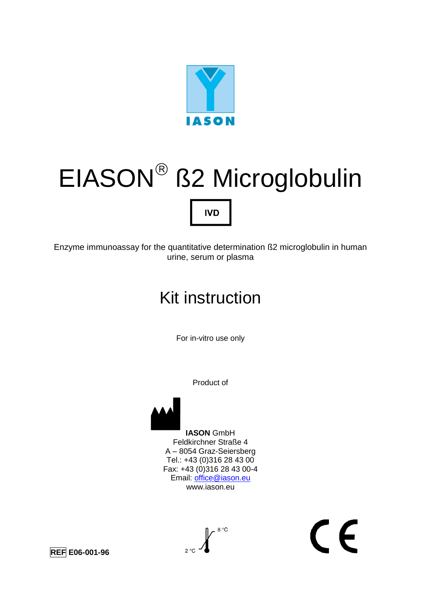

## EIASON ß2 Microglobulin **IVD**

Enzyme immunoassay for the quantitative determination ß2 microglobulin in human urine, serum or plasma

## Kit instruction

For in-vitro use only

Product of



 $\epsilon$ 





 $-8$  °C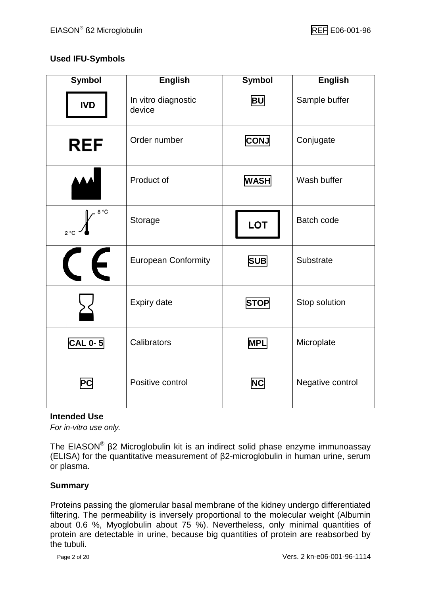#### **Used IFU-Symbols**

| <b>Symbol</b>           | <b>English</b>                | <b>Symbol</b> | <b>English</b>   |
|-------------------------|-------------------------------|---------------|------------------|
| <b>IVD</b>              | In vitro diagnostic<br>device | <b>BU</b>     |                  |
| <b>REF</b>              | Order number                  | <b>CONJ</b>   | Conjugate        |
|                         | Product of                    | <b>WASH</b>   | Wash buffer      |
| 8 °C<br>$2^{\circ}C$    | Storage                       | <b>LOT</b>    | Batch code       |
| $\boldsymbol{\epsilon}$ | <b>European Conformity</b>    | <b>SUB</b>    | Substrate        |
|                         | Expiry date                   | <b>STOP</b>   | Stop solution    |
| <b>CAL 0-5</b>          | Calibrators                   | <b>MPL</b>    | Microplate       |
| <b>PC</b>               | Positive control              | <b>NC</b>     | Negative control |

#### **Intended Use**

*For in-vitro use only.*

The EIASON® β2 Microglobulin kit is an indirect solid phase enzyme immunoassay (ELISA) for the quantitative measurement of β2-microglobulin in human urine, serum or plasma.

#### **Summary**

Proteins passing the glomerular basal membrane of the kidney undergo differentiated filtering. The permeability is inversely proportional to the molecular weight (Albumin about 0.6 %, Myoglobulin about 75 %). Nevertheless, only minimal quantities of protein are detectable in urine, because big quantities of protein are reabsorbed by the tubuli.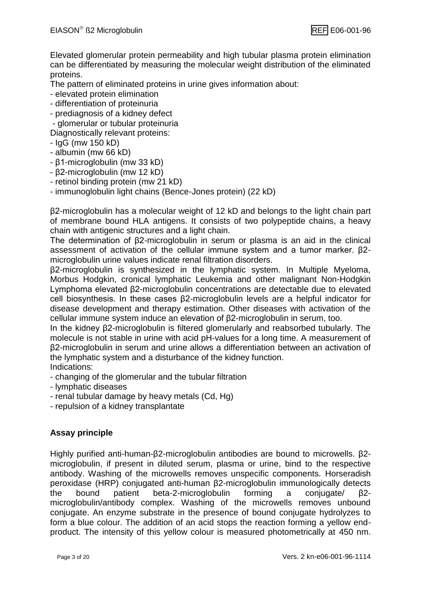Elevated glomerular protein permeability and high tubular plasma protein elimination can be differentiated by measuring the molecular weight distribution of the eliminated proteins.

The pattern of eliminated proteins in urine gives information about:

- elevated protein elimination
- differentiation of proteinuria
- prediagnosis of a kidney defect

- glomerular or tubular proteinuria

- Diagnostically relevant proteins:
- IgG (mw 150 kD)
- albumin (mw 66 kD)
- β1-microglobulin (mw 33 kD)
- β2-microglobulin (mw 12 kD)
- retinol binding protein (mw 21 kD)
- immunoglobulin light chains (Bence-Jones protein) (22 kD)

β2-microglobulin has a molecular weight of 12 kD and belongs to the light chain part of membrane bound HLA antigens. It consists of two polypeptide chains, a heavy chain with antigenic structures and a light chain.

The determination of β2-microglobulin in serum or plasma is an aid in the clinical assessment of activation of the cellular immune system and a tumor marker. β2 microglobulin urine values indicate renal filtration disorders.

β2-microglobulin is synthesized in the lymphatic system. In Multiple Myeloma, Morbus Hodgkin, cronical lymphatic Leukemia and other malignant Non-Hodgkin Lymphoma elevated β2-microglobulin concentrations are detectable due to elevated cell biosynthesis. In these cases β2-microglobulin levels are a helpful indicator for disease development and therapy estimation. Other diseases with activation of the cellular immune system induce an elevation of β2-microglobulin in serum, too.

In the kidney β2-microglobulin is filtered glomerularly and reabsorbed tubularly. The molecule is not stable in urine with acid pH-values for a long time. A measurement of β2-microglobulin in serum and urine allows a differentiation between an activation of the lymphatic system and a disturbance of the kidney function. Indications:

- changing of the glomerular and the tubular filtration
- lymphatic diseases
- renal tubular damage by heavy metals (Cd, Hg)
- repulsion of a kidney transplantate

#### **Assay principle**

Highly purified anti-human-β2-microglobulin antibodies are bound to microwells. β2 microglobulin, if present in diluted serum, plasma or urine, bind to the respective antibody. Washing of the microwells removes unspecific components. Horseradish peroxidase (HRP) conjugated anti-human β2-microglobulin immunologically detects the bound patient beta-2-microglobulin forming a conjugate/ β2 microglobulin/antibody complex. Washing of the microwells removes unbound conjugate. An enzyme substrate in the presence of bound conjugate hydrolyzes to form a blue colour. The addition of an acid stops the reaction forming a yellow endproduct. The intensity of this yellow colour is measured photometrically at 450 nm.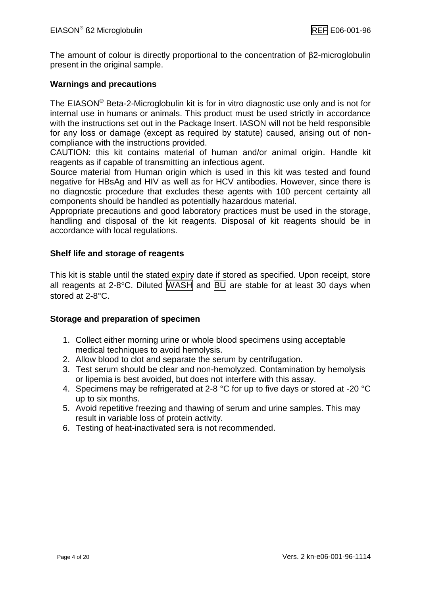The amount of colour is directly proportional to the concentration of β2-microglobulin present in the original sample.

#### **Warnings and precautions**

The EIASON<sup>®</sup> Beta-2-Microglobulin kit is for in vitro diagnostic use only and is not for internal use in humans or animals. This product must be used strictly in accordance with the instructions set out in the Package Insert. IASON will not be held responsible for any loss or damage (except as required by statute) caused, arising out of noncompliance with the instructions provided.

CAUTION: this kit contains material of human and/or animal origin. Handle kit reagents as if capable of transmitting an infectious agent.

Source material from Human origin which is used in this kit was tested and found negative for HBsAg and HIV as well as for HCV antibodies. However, since there is no diagnostic procedure that excludes these agents with 100 percent certainty all components should be handled as potentially hazardous material.

Appropriate precautions and good laboratory practices must be used in the storage, handling and disposal of the kit reagents. Disposal of kit reagents should be in accordance with local regulations.

#### **Shelf life and storage of reagents**

This kit is stable until the stated expiry date if stored as specified. Upon receipt, store all reagents at 2-8 $^{\circ}$ C. Diluted WASH and  $BUI$  are stable for at least 30 days when stored at 2-8°C.

#### **Storage and preparation of specimen**

- 1. Collect either morning urine or whole blood specimens using acceptable medical techniques to avoid hemolysis.
- 2. Allow blood to clot and separate the serum by centrifugation.
- 3. Test serum should be clear and non-hemolyzed. Contamination by hemolysis or lipemia is best avoided, but does not interfere with this assay.
- 4. Specimens may be refrigerated at 2-8 °C for up to five days or stored at -20 °C up to six months.
- 5. Avoid repetitive freezing and thawing of serum and urine samples. This may result in variable loss of protein activity.
- 6. Testing of heat-inactivated sera is not recommended.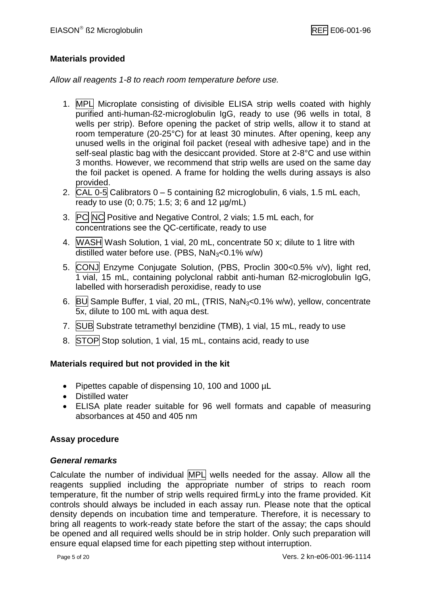#### **Materials provided**

*Allow all reagents 1-8 to reach room temperature before use.*

- 1. MPL Microplate consisting of divisible ELISA strip wells coated with highly purified anti-human-ß2-microglobulin IgG, ready to use (96 wells in total, 8 wells per strip). Before opening the packet of strip wells, allow it to stand at room temperature (20-25°C) for at least 30 minutes. After opening, keep any unused wells in the original foil packet (reseal with adhesive tape) and in the self-seal plastic bag with the desiccant provided. Store at 2-8°C and use within 3 months. However, we recommend that strip wells are used on the same day the foil packet is opened. A frame for holding the wells during assays is also provided.
- 2.  $CAL$  0-5 Calibrators  $0 5$  containing  $B2$  microglobulin, 6 vials, 1.5 mL each, ready to use (0; 0.75; 1.5; 3; 6 and 12 µg/mL)
- 3. PC NC Positive and Negative Control, 2 vials; 1.5 mL each, for concentrations see the QC-certificate, ready to use
- 4. WASH Wash Solution, 1 vial, 20 mL, concentrate 50 x; dilute to 1 litre with distilled water before use. (PBS,  $NaN<sub>3</sub><0.1%$  w/w)
- 5. CONJ Enzyme Conjugate Solution, (PBS, Proclin 300<0.5% v/v), light red, 1 vial, 15 mL, containing polyclonal rabbit anti-human ß2-microglobulin IgG, labelled with horseradish peroxidise, ready to use
- 6. BU Sample Buffer, 1 vial, 20 mL, (TRIS,  $\text{NaN}_3 < 0.1\%$  w/w), yellow, concentrate 5x, dilute to 100 mL with aqua dest.
- 7. SUB Substrate tetramethyl benzidine (TMB), 1 vial, 15 mL, ready to use
- 8. STOP Stop solution, 1 vial, 15 mL, contains acid, ready to use

#### **Materials required but not provided in the kit**

- Pipettes capable of dispensing 10, 100 and 1000 µL
- Distilled water
- ELISA plate reader suitable for 96 well formats and capable of measuring absorbances at 450 and 405 nm

#### **Assay procedure**

#### *General remarks*

Calculate the number of individual MPL wells needed for the assay. Allow all the reagents supplied including the appropriate number of strips to reach room temperature, fit the number of strip wells required firmLy into the frame provided. Kit controls should always be included in each assay run. Please note that the optical density depends on incubation time and temperature. Therefore, it is necessary to bring all reagents to work-ready state before the start of the assay; the caps should be opened and all required wells should be in strip holder. Only such preparation will ensure equal elapsed time for each pipetting step without interruption.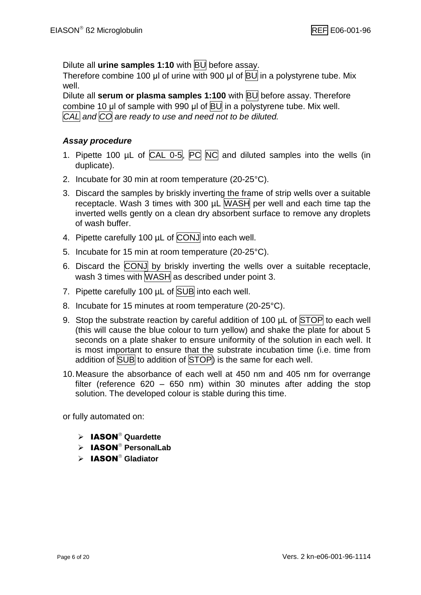Dilute all **urine samples 1:10** with BU before assay.

Therefore combine 100 μl of urine with 900 μl of **BU** in a polystyrene tube. Mix well.

Dilute all **serum or plasma samples 1:100** with **BU** before assay. Therefore combine 10 μl of sample with 990 μl of BU in a polystyrene tube. Mix well. *CAL and CO are ready to use and need not to be diluted.*

#### *Assay procedure*

- 1. Pipette 100  $\mu$ L of CAL 0-5,  $\overline{PC}$  NC and diluted samples into the wells (in duplicate).
- 2. Incubate for 30 min at room temperature (20-25°C).
- 3. Discard the samples by briskly inverting the frame of strip wells over a suitable receptacle. Wash 3 times with 300 µL WASH per well and each time tap the inverted wells gently on a clean dry absorbent surface to remove any droplets of wash buffer.
- 4. Pipette carefully 100 µL of CONJ into each well.
- 5. Incubate for 15 min at room temperature (20-25°C).
- 6. Discard the CONJ by briskly inverting the wells over a suitable receptacle, wash 3 times with WASH as described under point 3.
- 7. Pipette carefully 100 µL of SUB into each well.
- 8. Incubate for 15 minutes at room temperature (20-25°C).
- 9. Stop the substrate reaction by careful addition of 100  $\mu$ L of STOP to each well (this will cause the blue colour to turn yellow) and shake the plate for about 5 seconds on a plate shaker to ensure uniformity of the solution in each well. It is most important to ensure that the substrate incubation time (i.e. time from addition of SUB to addition of STOP) is the same for each well.
- 10.Measure the absorbance of each well at 450 nm and 405 nm for overrange filter (reference 620 – 650 nm) within 30 minutes after adding the stop solution. The developed colour is stable during this time.

or fully automated on:

- > IASON<sup>®</sup> Quardette
- $\triangleright$  **IASON**<sup>®</sup> PersonalLab
- > **IASON<sup>®</sup> Gladiator**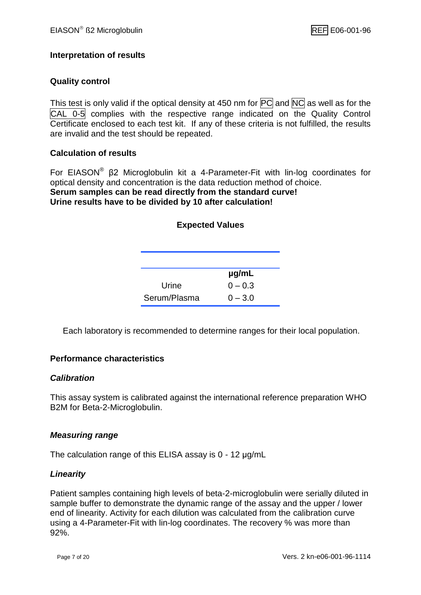#### **Interpretation of results**

#### **Quality control**

This test is only valid if the optical density at 450 nm for  $\overline{PC}$  and  $\overline{NC}$  as well as for the CAL 0-5 complies with the respective range indicated on the Quality Control Certificate enclosed to each test kit. If any of these criteria is not fulfilled, the results are invalid and the test should be repeated.

#### **Calculation of results**

For EIASON<sup>®</sup> β2 Microglobulin kit a 4-Parameter-Fit with lin-log coordinates for optical density and concentration is the data reduction method of choice. **Serum samples can be read directly from the standard curve! Urine results have to be divided by 10 after calculation!**

| <b>Expected Values</b> |           |  |
|------------------------|-----------|--|
|                        |           |  |
|                        | µg/mL     |  |
| Urine                  | $0 - 0.3$ |  |
| Serum/Plasma           | $0 - 3.0$ |  |

Each laboratory is recommended to determine ranges for their local population.

#### **Performance characteristics**

#### *Calibration*

This assay system is calibrated against the international reference preparation WHO B2M for Beta-2-Microglobulin.

#### *Measuring range*

The calculation range of this ELISA assay is 0 - 12 μg/mL

#### *Linearity*

Patient samples containing high levels of beta-2-microglobulin were serially diluted in sample buffer to demonstrate the dynamic range of the assay and the upper / lower end of linearity. Activity for each dilution was calculated from the calibration curve using a 4-Parameter-Fit with lin-log coordinates. The recovery % was more than 92%.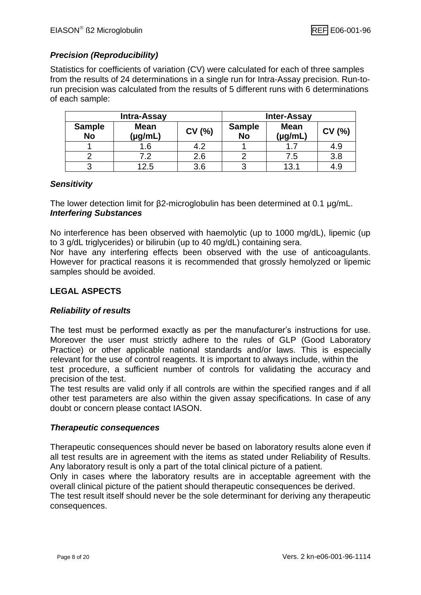#### *Precision (Reproducibility)*

Statistics for coefficients of variation (CV) were calculated for each of three samples from the results of 24 determinations in a single run for Intra-Assay precision. Run-torun precision was calculated from the results of 5 different runs with 6 determinations of each sample:

| <b>Intra-Assay</b>         |                        |       | <b>Inter-Assay</b>         |                        |        |
|----------------------------|------------------------|-------|----------------------------|------------------------|--------|
| <b>Sample</b><br><b>No</b> | <b>Mean</b><br>(µg/mL) | CV(%) | <b>Sample</b><br><b>No</b> | <b>Mean</b><br>(µg/mL, | CV (%) |
|                            | 1.6                    | 4.2   |                            |                        | 4.9    |
|                            | ר ד                    | 2.6   |                            | 7.5                    | 3.8    |
|                            | 12.5                   | 3.6   |                            | 13.1                   | 4.9    |

#### *Sensitivity*

The lower detection limit for β2-microglobulin has been determined at 0.1 μg/mL. *Interfering Substances*

No interference has been observed with haemolytic (up to 1000 mg/dL), lipemic (up to 3 g/dL triglycerides) or bilirubin (up to 40 mg/dL) containing sera.

Nor have any interfering effects been observed with the use of anticoagulants. However for practical reasons it is recommended that grossly hemolyzed or lipemic samples should be avoided.

#### **LEGAL ASPECTS**

#### *Reliability of results*

The test must be performed exactly as per the manufacturer's instructions for use. Moreover the user must strictly adhere to the rules of GLP (Good Laboratory Practice) or other applicable national standards and/or laws. This is especially relevant for the use of control reagents. It is important to always include, within the test procedure, a sufficient number of controls for validating the accuracy and precision of the test.

The test results are valid only if all controls are within the specified ranges and if all other test parameters are also within the given assay specifications. In case of any doubt or concern please contact IASON.

#### *Therapeutic consequences*

Therapeutic consequences should never be based on laboratory results alone even if all test results are in agreement with the items as stated under Reliability of Results. Any laboratory result is only a part of the total clinical picture of a patient.

Only in cases where the laboratory results are in acceptable agreement with the overall clinical picture of the patient should therapeutic consequences be derived.

The test result itself should never be the sole determinant for deriving any therapeutic consequences.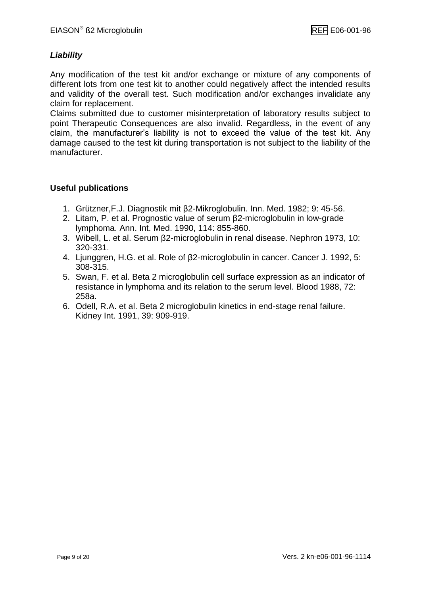#### *Liability*

Any modification of the test kit and/or exchange or mixture of any components of different lots from one test kit to another could negatively affect the intended results and validity of the overall test. Such modification and/or exchanges invalidate any claim for replacement.

Claims submitted due to customer misinterpretation of laboratory results subject to point Therapeutic Consequences are also invalid. Regardless, in the event of any claim, the manufacturer's liability is not to exceed the value of the test kit. Any damage caused to the test kit during transportation is not subject to the liability of the manufacturer.

#### **Useful publications**

- 1. Grützner,F.J. Diagnostik mit β2-Mikroglobulin. Inn. Med. 1982; 9: 45-56.
- 2. Litam, P. et al. Prognostic value of serum β2-microglobulin in low-grade lymphoma. Ann. Int. Med. 1990, 114: 855-860.
- 3. Wibell, L. et al. Serum β2-microglobulin in renal disease. Nephron 1973, 10: 320-331.
- 4. Ljunggren, H.G. et al. Role of β2-microglobulin in cancer. Cancer J. 1992, 5: 308-315.
- 5. Swan, F. et al. Beta 2 microglobulin cell surface expression as an indicator of resistance in lymphoma and its relation to the serum level. Blood 1988, 72: 258a.
- 6. Odell, R.A. et al. Beta 2 microglobulin kinetics in end-stage renal failure. Kidney Int. 1991, 39: 909-919.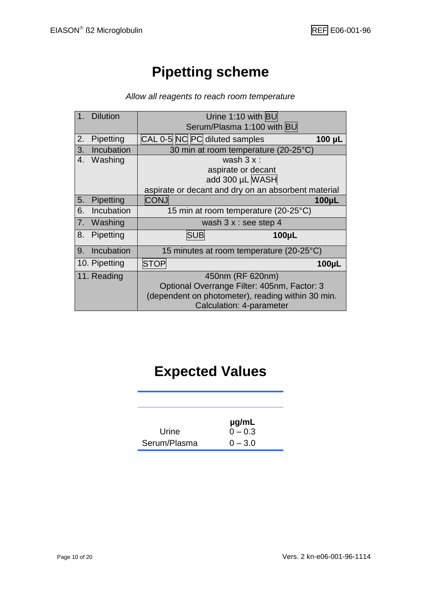## **Pipetting scheme**

#### *Allow all reagents to reach room temperature*

|    | <b>Dilution</b> | Urine 1:10 with BU                                  |  |  |
|----|-----------------|-----------------------------------------------------|--|--|
|    |                 | Serum/Plasma 1:100 with BU                          |  |  |
| 2. | Pipetting       | CAL 0-5 NC PC diluted samples<br>$100 \mu L$        |  |  |
| 3. | Incubation      | 30 min at room temperature (20-25°C)                |  |  |
| 4. | Washing         | wash $3x$ :                                         |  |  |
|    |                 | aspirate or decant                                  |  |  |
|    |                 | add 300 µL WASH                                     |  |  |
|    |                 | aspirate or decant and dry on an absorbent material |  |  |
| 5. | Pipetting       | <b>CONJ</b><br>100µL                                |  |  |
| 6. | Incubation      | 15 min at room temperature (20-25°C)                |  |  |
| 7. | Washing         | wash $3x:$ see step 4                               |  |  |
| 8. | Pipetting       | <b>SUB</b><br>100µL                                 |  |  |
| 9. | Incubation      | 15 minutes at room temperature (20-25°C)            |  |  |
|    | 10. Pipetting   | <b>STOP</b><br>$100\mu$ L                           |  |  |
|    | 11. Reading     | 450nm (RF 620nm)                                    |  |  |
|    |                 | Optional Overrange Filter: 405nm, Factor: 3         |  |  |
|    |                 | (dependent on photometer), reading within 30 min.   |  |  |
|    |                 | <b>Calculation: 4-parameter</b>                     |  |  |

## **Expected Values**

|              | $\mu$ g/mL |
|--------------|------------|
| Urine        | $0 - 0.3$  |
| Serum/Plasma | $0 - 3.0$  |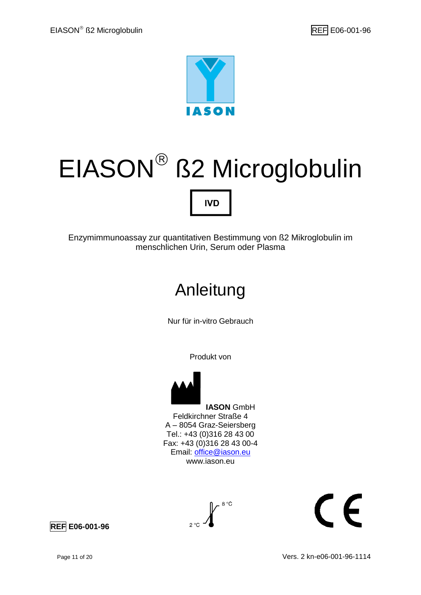

# EIASON ß2 Microglobulin **IVD**

Enzymimmunoassay zur quantitativen Bestimmung von ß2 Mikroglobulin im menschlichen Urin, Serum oder Plasma

## Anleitung

Nur für in-vitro Gebrauch

Produkt von



**IASON** GmbH Feldkirchner Straße 4 A – 8054 Graz-Seiersberg Tel.: +43 (0)316 28 43 00 Fax: +43 (0)316 28 43 00-4 Email: [office@iason.eu](mailto:office@iason.eu) www.iason.eu



# $\epsilon$

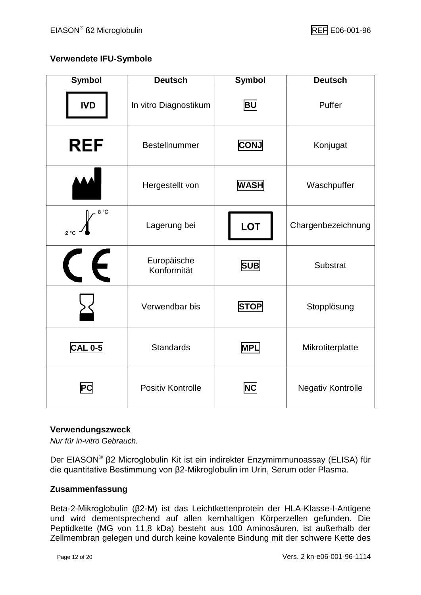#### **Verwendete IFU-Symbole**

| <b>Symbol</b>        | <b>Deutsch</b>             | <b>Symbol</b>                  | <b>Deutsch</b>     |
|----------------------|----------------------------|--------------------------------|--------------------|
| <b>IVD</b>           | In vitro Diagnostikum      | <b>BU</b>                      | Puffer             |
| <b>REF</b>           | Bestellnummer              | <b>CONJ</b>                    | Konjugat           |
|                      | Hergestellt von            | <b>WASH</b>                    | Waschpuffer        |
| 8 °C<br>$2^{\circ}C$ | Lagerung bei               | <b>LOT</b>                     | Chargenbezeichnung |
| E                    | Europäische<br>Konformität | <b>SUB</b>                     | <b>Substrat</b>    |
|                      | Verwendbar bis             | <b>STOP</b>                    | Stopplösung        |
| <b>CAL 0-5</b>       | <b>Standards</b>           | <b>MPL</b>                     | Mikrotiterplatte   |
| РC                   | Positiv Kontrolle          | <b>NC</b><br>Negativ Kontrolle |                    |

#### **Verwendungszweck**

*Nur für in-vitro Gebrauch.*

Der EIASON® β2 Microglobulin Kit ist ein indirekter Enzymimmunoassay (ELISA) für die quantitative Bestimmung von β2-Mikroglobulin im Urin, Serum oder Plasma.

#### **Zusammenfassung**

Beta-2-Mikroglobulin (β2-M) ist das Leichtkettenprotein der HLA-Klasse-I-Antigene und wird dementsprechend auf allen kernhaltigen Körperzellen gefunden. Die Peptidkette (MG von 11,8 kDa) besteht aus 100 Aminosäuren, ist außerhalb der Zellmembran gelegen und durch keine kovalente Bindung mit der schwere Kette des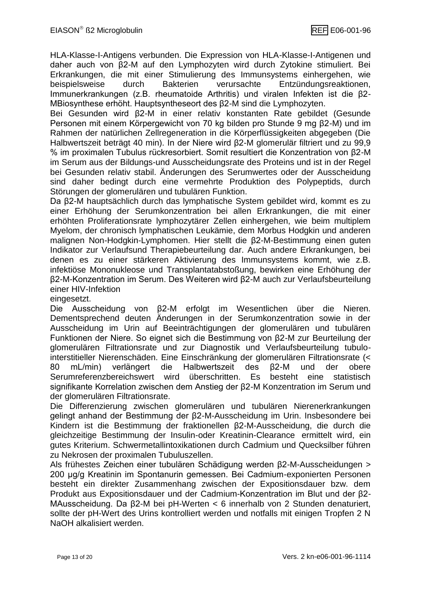HLA-Klasse-I-Antigens verbunden. Die Expression von HLA-Klasse-I-Antigenen und daher auch von β2-M auf den Lymphozyten wird durch Zytokine stimuliert. Bei Erkrankungen, die mit einer Stimulierung des Immunsystems einhergehen, wie beispielsweise durch Bakterien verursachte Entzündungsreaktionen, Immunerkrankungen (z.B. rheumatoide Arthritis) und viralen Infekten ist die β2- MBiosynthese erhöht. Hauptsyntheseort des β2-M sind die Lymphozyten.

Bei Gesunden wird β2-M in einer relativ konstanten Rate gebildet (Gesunde Personen mit einem Körpergewicht von 70 kg bilden pro Stunde 9 mg β2-M) und im Rahmen der natürlichen Zellregeneration in die Körperflüssigkeiten abgegeben (Die Halbwertszeit beträgt 40 min). In der Niere wird β2-M glomerulär filtriert und zu 99,9 % im proximalen Tubulus rückresorbiert. Somit resultiert die Konzentration von β2-M im Serum aus der Bildungs-und Ausscheidungsrate des Proteins und ist in der Regel bei Gesunden relativ stabil. Änderungen des Serumwertes oder der Ausscheidung sind daher bedingt durch eine vermehrte Produktion des Polypeptids, durch Störungen der glomerulären und tubulären Funktion.

Da β2-M hauptsächlich durch das lymphatische System gebildet wird, kommt es zu einer Erhöhung der Serumkonzentration bei allen Erkrankungen, die mit einer erhöhten Proliferationsrate lymphozytärer Zellen einhergehen, wie beim multiplem Myelom, der chronisch lymphatischen Leukämie, dem Morbus Hodgkin und anderen malignen Non-Hodgkin-Lymphomen. Hier stellt die β2-M-Bestimmung einen guten Indikator zur Verlaufsund Therapiebeurteilung dar. Auch andere Erkrankungen, bei denen es zu einer stärkeren Aktivierung des Immunsystems kommt, wie z.B. infektiöse Mononukleose und Transplantatabstoßung, bewirken eine Erhöhung der β2-M-Konzentration im Serum. Des Weiteren wird β2-M auch zur Verlaufsbeurteilung einer HIV-Infektion

eingesetzt.

Die Ausscheidung von β2-M erfolgt im Wesentlichen über die Nieren. Dementsprechend deuten Änderungen in der Serumkonzentration sowie in der Ausscheidung im Urin auf Beeinträchtigungen der glomerulären und tubulären Funktionen der Niere. So eignet sich die Bestimmung von β2-M zur Beurteilung der glomerulären Filtrationsrate und zur Diagnostik und Verlaufsbeurteilung tubulointerstitieller Nierenschäden. Eine Einschränkung der glomerulären Filtrationsrate (< 80 mL/min) verlängert die Halbwertszeit des β2-M und der obere Serumreferenzbereichswert wird überschritten. Es besteht eine statistisch signifikante Korrelation zwischen dem Anstieg der β2-M Konzentration im Serum und der glomerulären Filtrationsrate.

Die Differenzierung zwischen glomerulären und tubulären Nierenerkrankungen gelingt anhand der Bestimmung der β2-M-Ausscheidung im Urin. Insbesondere bei Kindern ist die Bestimmung der fraktionellen β2-M-Ausscheidung, die durch die gleichzeitige Bestimmung der Insulin-oder Kreatinin-Clearance ermittelt wird, ein gutes Kriterium. Schwermetallintoxikationen durch Cadmium und Quecksilber führen zu Nekrosen der proximalen Tubuluszellen.

Als frühestes Zeichen einer tubulären Schädigung werden β2-M-Ausscheidungen > 200 μg/g Kreatinin im Spontanurin gemessen. Bei Cadmium-exponierten Personen besteht ein direkter Zusammenhang zwischen der Expositionsdauer bzw. dem Produkt aus Expositionsdauer und der Cadmium-Konzentration im Blut und der β2- MAusscheidung. Da β2-M bei pH-Werten < 6 innerhalb von 2 Stunden denaturiert, sollte der pH-Wert des Urins kontrolliert werden und notfalls mit einigen Tropfen 2 N NaOH alkalisiert werden.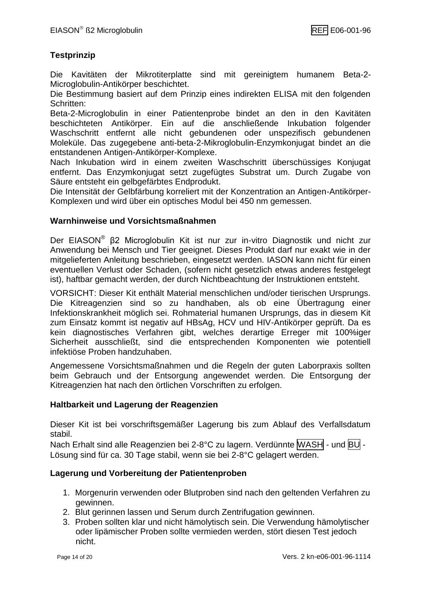#### **Testprinzip**

Die Kavitäten der Mikrotiterplatte sind mit gereinigtem humanem Beta-2- Microglobulin-Antikörper beschichtet.

Die Bestimmung basiert auf dem Prinzip eines indirekten ELISA mit den folgenden Schritten:

Beta-2-Microglobulin in einer Patientenprobe bindet an den in den Kavitäten beschichteten Antikörper. Ein auf die anschließende Inkubation folgender Waschschritt entfernt alle nicht gebundenen oder unspezifisch gebundenen Moleküle. Das zugegebene anti-beta-2-Mikroglobulin-Enzymkonjugat bindet an die entstandenen Antigen-Antikörper-Komplexe.

Nach Inkubation wird in einem zweiten Waschschritt überschüssiges Konjugat entfernt. Das Enzymkonjugat setzt zugefügtes Substrat um. Durch Zugabe von Säure entsteht ein gelbgefärbtes Endprodukt.

Die Intensität der Gelbfärbung korreliert mit der Konzentration an Antigen-Antikörper-Komplexen und wird über ein optisches Modul bei 450 nm gemessen.

#### **Warnhinweise und Vorsichtsmaßnahmen**

Der EIASON<sup>®</sup> β2 Microglobulin Kit ist nur zur in-vitro Diagnostik und nicht zur Anwendung bei Mensch und Tier geeignet. Dieses Produkt darf nur exakt wie in der mitgelieferten Anleitung beschrieben, eingesetzt werden. IASON kann nicht für einen eventuellen Verlust oder Schaden, (sofern nicht gesetzlich etwas anderes festgelegt ist), haftbar gemacht werden, der durch Nichtbeachtung der Instruktionen entsteht.

VORSICHT: Dieser Kit enthält Material menschlichen und/oder tierischen Ursprungs. Die Kitreagenzien sind so zu handhaben, als ob eine Übertragung einer Infektionskrankheit möglich sei. Rohmaterial humanen Ursprungs, das in diesem Kit zum Einsatz kommt ist negativ auf HBsAg, HCV und HIV-Antikörper geprüft. Da es kein diagnostisches Verfahren gibt, welches derartige Erreger mit 100%iger Sicherheit ausschließt, sind die entsprechenden Komponenten wie potentiell infektiöse Proben handzuhaben.

Angemessene Vorsichtsmaßnahmen und die Regeln der guten Laborpraxis sollten beim Gebrauch und der Entsorgung angewendet werden. Die Entsorgung der Kitreagenzien hat nach den örtlichen Vorschriften zu erfolgen.

#### **Haltbarkeit und Lagerung der Reagenzien**

Dieser Kit ist bei vorschriftsgemäßer Lagerung bis zum Ablauf des Verfallsdatum stabil.

Nach Erhalt sind alle Reagenzien bei 2-8°C zu lagern. Verdünnte WASH - und BU -Lösung sind für ca. 30 Tage stabil, wenn sie bei 2-8°C gelagert werden.

#### **Lagerung und Vorbereitung der Patientenproben**

- 1. Morgenurin verwenden oder Blutproben sind nach den geltenden Verfahren zu gewinnen.
- 2. Blut gerinnen lassen und Serum durch Zentrifugation gewinnen.
- 3. Proben sollten klar und nicht hämolytisch sein. Die Verwendung hämolytischer oder lipämischer Proben sollte vermieden werden, stört diesen Test jedoch nicht.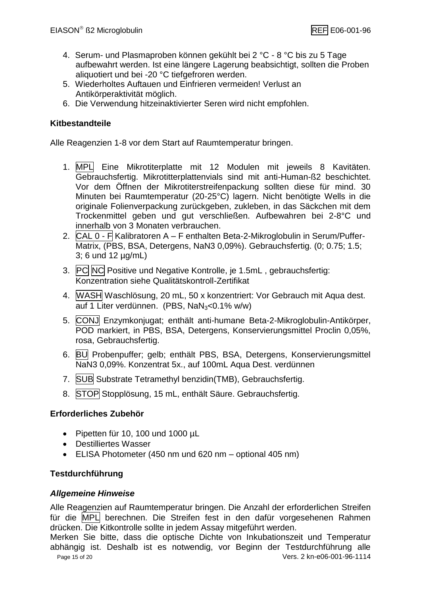- 4. Serum- und Plasmaproben können gekühlt bei 2 °C 8 °C bis zu 5 Tage aufbewahrt werden. Ist eine längere Lagerung beabsichtigt, sollten die Proben aliquotiert und bei -20 °C tiefgefroren werden.
- 5. Wiederholtes Auftauen und Einfrieren vermeiden! Verlust an Antikörperaktivität möglich.
- 6. Die Verwendung hitzeinaktivierter Seren wird nicht empfohlen.

#### **Kitbestandteile**

Alle Reagenzien 1-8 vor dem Start auf Raumtemperatur bringen.

- 1. MPL Eine Mikrotiterplatte mit 12 Modulen mit jeweils 8 Kavitäten. Gebrauchsfertig. Mikrotitterplattenvials sind mit anti-Human-ß2 beschichtet. Vor dem Öffnen der Mikrotiterstreifenpackung sollten diese für mind. 30 Minuten bei Raumtemperatur (20-25°C) lagern. Nicht benötigte Wells in die originale Folienverpackung zurückgeben, zukleben, in das Säckchen mit dem Trockenmittel geben und gut verschließen. Aufbewahren bei 2-8°C und innerhalb von 3 Monaten verbrauchen.
- 2.  $CAL 0 F$  Kalibratoren A F enthalten Beta-2-Mikroglobulin in Serum/Puffer-Matrix, (PBS, BSA, Detergens, NaN3 0,09%). Gebrauchsfertig. (0; 0.75; 1.5; 3; 6 und 12 µg/mL)
- 3. PC NC Positive und Negative Kontrolle, je 1.5mL, gebrauchsfertig: Konzentration siehe Qualitätskontroll-Zertifikat
- 4. WASH Waschlösung, 20 mL, 50 x konzentriert: Vor Gebrauch mit Aqua dest. auf 1 Liter verdünnen. (PBS,  $\text{NaN}_3 < 0.1\%$  w/w)
- 5. CONJ Enzymkonjugat; enthält anti-humane Beta-2-Mikroglobulin-Antikörper, POD markiert, in PBS, BSA, Detergens, Konservierungsmittel Proclin 0,05%, rosa, Gebrauchsfertig.
- 6. BU Probenpuffer; gelb; enthält PBS, BSA, Detergens, Konservierungsmittel NaN3 0,09%. Konzentrat 5x., auf 100mL Aqua Dest. verdünnen
- 7. SUB Substrate Tetramethyl benzidin(TMB), Gebrauchsfertig.
- 8. STOP Stopplösung, 15 mL, enthält Säure. Gebrauchsfertig.

#### **Erforderliches Zubehör**

- Pipetten für 10, 100 und 1000  $\mu$ L
- Destilliertes Wasser
- ELISA Photometer (450 nm und 620 nm optional 405 nm)

#### **Testdurchführung**

#### *Allgemeine Hinweise*

Alle Reagenzien auf Raumtemperatur bringen. Die Anzahl der erforderlichen Streifen für die MPL berechnen. Die Streifen fest in den dafür vorgesehenen Rahmen drücken. Die Kitkontrolle sollte in jedem Assay mitgeführt werden.

Page 15 of 20 Vers. 2 kn-e06-001-96-1114 Merken Sie bitte, dass die optische Dichte von Inkubationszeit und Temperatur abhängig ist. Deshalb ist es notwendig, vor Beginn der Testdurchführung alle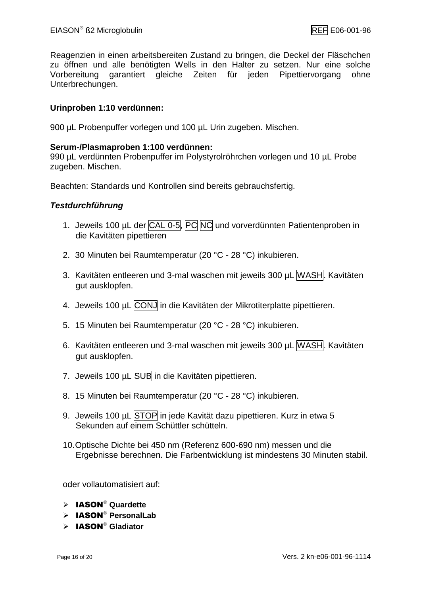Reagenzien in einen arbeitsbereiten Zustand zu bringen, die Deckel der Fläschchen zu öffnen und alle benötigten Wells in den Halter zu setzen. Nur eine solche Vorbereitung garantiert gleiche Zeiten für jeden Pipettiervorgang ohne Unterbrechungen.

#### **Urinproben 1:10 verdünnen:**

900 µL Probenpuffer vorlegen und 100 µL Urin zugeben. Mischen.

#### **Serum-/Plasmaproben 1:100 verdünnen:**

990 µL verdünnten Probenpuffer im Polystyrolröhrchen vorlegen und 10 µL Probe zugeben. Mischen.

Beachten: Standards und Kontrollen sind bereits gebrauchsfertig.

#### *Testdurchführung*

- 1. Jeweils 100 µL der CAL 0-5, PC NC und vorverdünnten Patientenproben in die Kavitäten pipettieren
- 2. 30 Minuten bei Raumtemperatur (20 °C 28 °C) inkubieren.
- 3. Kavitäten entleeren und 3-mal waschen mit jeweils 300 µL WASH. Kavitäten gut ausklopfen.
- 4. Jeweils 100 µL CONJ in die Kavitäten der Mikrotiterplatte pipettieren.
- 5. 15 Minuten bei Raumtemperatur (20 °C 28 °C) inkubieren.
- 6. Kavitäten entleeren und 3-mal waschen mit jeweils 300 µL WASH. Kavitäten gut ausklopfen.
- 7. Jeweils 100 µL SUB in die Kavitäten pipettieren.
- 8. 15 Minuten bei Raumtemperatur (20 °C 28 °C) inkubieren.
- 9. Jeweils 100 µL STOP in jede Kavität dazu pipettieren. Kurz in etwa 5 Sekunden auf einem Schüttler schütteln.
- 10.Optische Dichte bei 450 nm (Referenz 600-690 nm) messen und die Ergebnisse berechnen. Die Farbentwicklung ist mindestens 30 Minuten stabil.

oder vollautomatisiert auf:

- $\triangleright$  **IASON**<sup>®</sup> Quardette
- > IASON<sup>®</sup> PersonalLab
- > **IASON<sup>®</sup> Gladiator**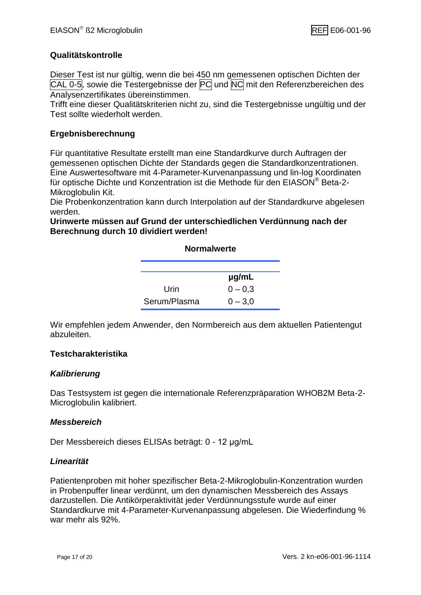#### **Qualitätskontrolle**

Dieser Test ist nur gültig, wenn die bei 450 nm gemessenen optischen Dichten der CAL 0-5, sowie die Testergebnisse der PC und NC mit den Referenzbereichen des Analysenzertifikates übereinstimmen.

Trifft eine dieser Qualitätskriterien nicht zu, sind die Testergebnisse ungültig und der Test sollte wiederholt werden.

#### **Ergebnisberechnung**

Für quantitative Resultate erstellt man eine Standardkurve durch Auftragen der gemessenen optischen Dichte der Standards gegen die Standardkonzentrationen. Eine Auswertesoftware mit 4-Parameter-Kurvenanpassung und lin-log Koordinaten für optische Dichte und Konzentration ist die Methode für den EIASON® Beta-2- Mikroglobulin Kit.

Die Probenkonzentration kann durch Interpolation auf der Standardkurve abgelesen werden.

**Urinwerte müssen auf Grund der unterschiedlichen Verdünnung nach der Berechnung durch 10 dividiert werden!**

#### **Normalwerte**

|              | $\mu$ g/mL |  |
|--------------|------------|--|
| Urin         | $0 - 0.3$  |  |
| Serum/Plasma | $0 - 3.0$  |  |

Wir empfehlen jedem Anwender, den Normbereich aus dem aktuellen Patientengut abzuleiten.

#### **Testcharakteristika**

#### *Kalibrierung*

Das Testsystem ist gegen die internationale Referenzpräparation WHOB2M Beta-2- Microglobulin kalibriert.

#### *Messbereich*

Der Messbereich dieses ELISAs beträgt: 0 - 12 μg/mL

#### *Linearität*

Patientenproben mit hoher spezifischer Beta-2-Mikroglobulin-Konzentration wurden in Probenpuffer linear verdünnt, um den dynamischen Messbereich des Assays darzustellen. Die Antikörperaktivität jeder Verdünnungsstufe wurde auf einer Standardkurve mit 4-Parameter-Kurvenanpassung abgelesen. Die Wiederfindung % war mehr als 92%.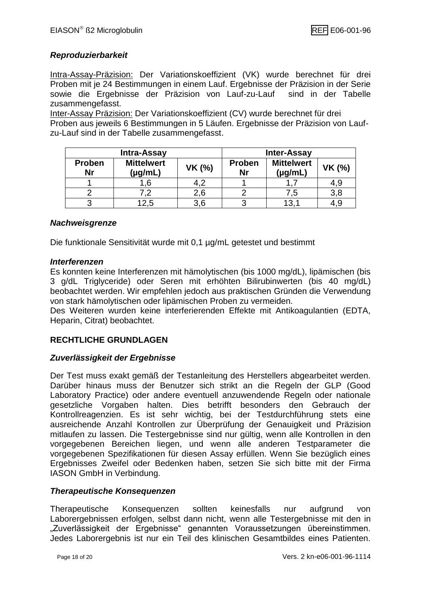#### *Reproduzierbarkeit*

Intra-Assay-Präzision: Der Variationskoeffizient (VK) wurde berechnet für drei Proben mit je 24 Bestimmungen in einem Lauf. Ergebnisse der Präzision in der Serie sowie die Ergebnisse der Präzision von Lauf-zu-Lauf sind in der Tabelle zusammengefasst.

Inter-Assay Präzision: Der Variationskoeffizient (CV) wurde berechnet für drei Proben aus jeweils 6 Bestimmungen in 5 Läufen. Ergebnisse der Präzision von Laufzu-Lauf sind in der Tabelle zusammengefasst.

| <b>Intra-Assay</b>  |                              |               | <b>Inter-Assay</b>  |                                   |               |
|---------------------|------------------------------|---------------|---------------------|-----------------------------------|---------------|
| Proben<br><b>Nr</b> | <b>Mittelwert</b><br>(yg/mL) | <b>VK (%)</b> | Proben<br><b>Nr</b> | <b>Mittelwert</b><br>$(\mu g/mL)$ | <b>VK (%)</b> |
|                     | .6                           |               |                     |                                   | 4,9           |
|                     |                              | 2,6           |                     | 7.5                               | 3,8           |
| 3                   |                              | 3.6           |                     | 13,                               | 4.9           |

#### *Nachweisgrenze*

Die funktionale Sensitivität wurde mit 0,1 µg/mL getestet und bestimmt

#### *Interferenzen*

Es konnten keine Interferenzen mit hämolytischen (bis 1000 mg/dL), lipämischen (bis 3 g/dL Triglyceride) oder Seren mit erhöhten Bilirubinwerten (bis 40 mg/dL) beobachtet werden. Wir empfehlen jedoch aus praktischen Gründen die Verwendung von stark hämolytischen oder lipämischen Proben zu vermeiden.

Des Weiteren wurden keine interferierenden Effekte mit Antikoagulantien (EDTA, Heparin, Citrat) beobachtet.

#### **RECHTLICHE GRUNDLAGEN**

#### *Zuverlässigkeit der Ergebnisse*

Der Test muss exakt gemäß der Testanleitung des Herstellers abgearbeitet werden. Darüber hinaus muss der Benutzer sich strikt an die Regeln der GLP (Good Laboratory Practice) oder andere eventuell anzuwendende Regeln oder nationale gesetzliche Vorgaben halten. Dies betrifft besonders den Gebrauch der Kontrollreagenzien. Es ist sehr wichtig, bei der Testdurchführung stets eine ausreichende Anzahl Kontrollen zur Überprüfung der Genauigkeit und Präzision mitlaufen zu lassen. Die Testergebnisse sind nur gültig, wenn alle Kontrollen in den vorgegebenen Bereichen liegen, und wenn alle anderen Testparameter die vorgegebenen Spezifikationen für diesen Assay erfüllen. Wenn Sie bezüglich eines Ergebnisses Zweifel oder Bedenken haben, setzen Sie sich bitte mit der Firma IASON GmbH in Verbindung.

#### *Therapeutische Konsequenzen*

Therapeutische Konsequenzen sollten keinesfalls nur aufgrund von Laborergebnissen erfolgen, selbst dann nicht, wenn alle Testergebnisse mit den in "Zuverlässigkeit der Ergebnisse" genannten Voraussetzungen übereinstimmen. Jedes Laborergebnis ist nur ein Teil des klinischen Gesamtbildes eines Patienten.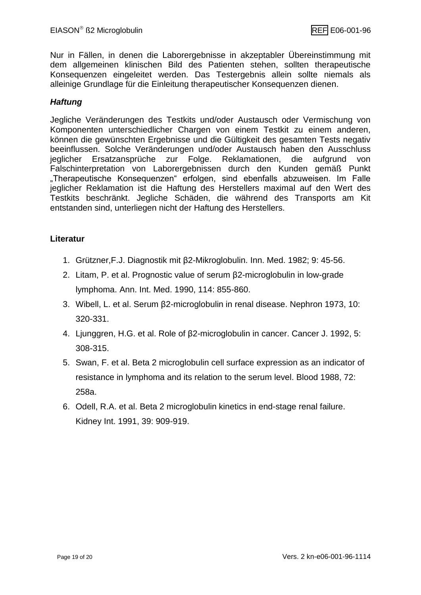Nur in Fällen, in denen die Laborergebnisse in akzeptabler Übereinstimmung mit dem allgemeinen klinischen Bild des Patienten stehen, sollten therapeutische Konsequenzen eingeleitet werden. Das Testergebnis allein sollte niemals als alleinige Grundlage für die Einleitung therapeutischer Konsequenzen dienen.

#### *Haftung*

Jegliche Veränderungen des Testkits und/oder Austausch oder Vermischung von Komponenten unterschiedlicher Chargen von einem Testkit zu einem anderen, können die gewünschten Ergebnisse und die Gültigkeit des gesamten Tests negativ beeinflussen. Solche Veränderungen und/oder Austausch haben den Ausschluss jeglicher Ersatzansprüche zur Folge. Reklamationen, die aufgrund von Falschinterpretation von Laborergebnissen durch den Kunden gemäß Punkt "Therapeutische Konsequenzen" erfolgen, sind ebenfalls abzuweisen. Im Falle jeglicher Reklamation ist die Haftung des Herstellers maximal auf den Wert des Testkits beschränkt. Jegliche Schäden, die während des Transports am Kit entstanden sind, unterliegen nicht der Haftung des Herstellers.

#### **Literatur**

- 1. Grützner,F.J. Diagnostik mit β2-Mikroglobulin. Inn. Med. 1982; 9: 45-56.
- 2. Litam, P. et al. Prognostic value of serum β2-microglobulin in low-grade lymphoma. Ann. Int. Med. 1990, 114: 855-860.
- 3. Wibell, L. et al. Serum β2-microglobulin in renal disease. Nephron 1973, 10: 320-331.
- 4. Ljunggren, H.G. et al. Role of β2-microglobulin in cancer. Cancer J. 1992, 5: 308-315.
- 5. Swan, F. et al. Beta 2 microglobulin cell surface expression as an indicator of resistance in lymphoma and its relation to the serum level. Blood 1988, 72: 258a.
- 6. Odell, R.A. et al. Beta 2 microglobulin kinetics in end-stage renal failure. Kidney Int. 1991, 39: 909-919.